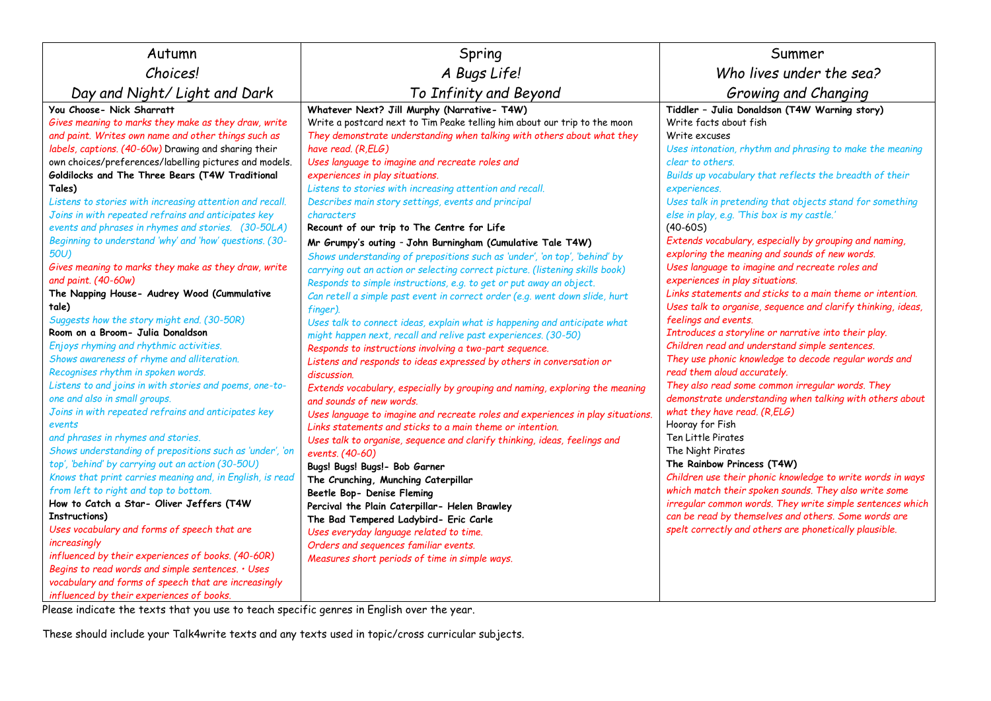| Autumn                                                                                                                                                                                                                                                                                                                                                                                                                                                                                                                                                                                                                                                                                                                                                                                                                                                                                                                                                                                                                                                                                                                                                                                                                                                                                                                                                                                                                                                                                                                                                                                                                                                                                             | Spring                                                                                                                                                                                                                                                                                                                                                                                                                                                                                                                                                                                                                                                                                                                                                                                                                                                                                                                                                                                                                                                                                                                                                                                                                                                                                                                                                                                                                                                                                                                                                                                                                                                                                                                                                                                                                                                                                         | Summer                                                                                                                                                                                                                                                                                                                                                                                                                                                                                                                                                                                                                                                                                                                                                                                                                                                                                                                                                                                                                                                                                                                                                                                                                                                                                                                                                                                                                                                                                  |
|----------------------------------------------------------------------------------------------------------------------------------------------------------------------------------------------------------------------------------------------------------------------------------------------------------------------------------------------------------------------------------------------------------------------------------------------------------------------------------------------------------------------------------------------------------------------------------------------------------------------------------------------------------------------------------------------------------------------------------------------------------------------------------------------------------------------------------------------------------------------------------------------------------------------------------------------------------------------------------------------------------------------------------------------------------------------------------------------------------------------------------------------------------------------------------------------------------------------------------------------------------------------------------------------------------------------------------------------------------------------------------------------------------------------------------------------------------------------------------------------------------------------------------------------------------------------------------------------------------------------------------------------------------------------------------------------------|------------------------------------------------------------------------------------------------------------------------------------------------------------------------------------------------------------------------------------------------------------------------------------------------------------------------------------------------------------------------------------------------------------------------------------------------------------------------------------------------------------------------------------------------------------------------------------------------------------------------------------------------------------------------------------------------------------------------------------------------------------------------------------------------------------------------------------------------------------------------------------------------------------------------------------------------------------------------------------------------------------------------------------------------------------------------------------------------------------------------------------------------------------------------------------------------------------------------------------------------------------------------------------------------------------------------------------------------------------------------------------------------------------------------------------------------------------------------------------------------------------------------------------------------------------------------------------------------------------------------------------------------------------------------------------------------------------------------------------------------------------------------------------------------------------------------------------------------------------------------------------------------|-----------------------------------------------------------------------------------------------------------------------------------------------------------------------------------------------------------------------------------------------------------------------------------------------------------------------------------------------------------------------------------------------------------------------------------------------------------------------------------------------------------------------------------------------------------------------------------------------------------------------------------------------------------------------------------------------------------------------------------------------------------------------------------------------------------------------------------------------------------------------------------------------------------------------------------------------------------------------------------------------------------------------------------------------------------------------------------------------------------------------------------------------------------------------------------------------------------------------------------------------------------------------------------------------------------------------------------------------------------------------------------------------------------------------------------------------------------------------------------------|
| <b>Choices!</b>                                                                                                                                                                                                                                                                                                                                                                                                                                                                                                                                                                                                                                                                                                                                                                                                                                                                                                                                                                                                                                                                                                                                                                                                                                                                                                                                                                                                                                                                                                                                                                                                                                                                                    | A Bugs Life!                                                                                                                                                                                                                                                                                                                                                                                                                                                                                                                                                                                                                                                                                                                                                                                                                                                                                                                                                                                                                                                                                                                                                                                                                                                                                                                                                                                                                                                                                                                                                                                                                                                                                                                                                                                                                                                                                   | Who lives under the sea?                                                                                                                                                                                                                                                                                                                                                                                                                                                                                                                                                                                                                                                                                                                                                                                                                                                                                                                                                                                                                                                                                                                                                                                                                                                                                                                                                                                                                                                                |
| Day and Night/Light and Dark                                                                                                                                                                                                                                                                                                                                                                                                                                                                                                                                                                                                                                                                                                                                                                                                                                                                                                                                                                                                                                                                                                                                                                                                                                                                                                                                                                                                                                                                                                                                                                                                                                                                       | To Infinity and Beyond                                                                                                                                                                                                                                                                                                                                                                                                                                                                                                                                                                                                                                                                                                                                                                                                                                                                                                                                                                                                                                                                                                                                                                                                                                                                                                                                                                                                                                                                                                                                                                                                                                                                                                                                                                                                                                                                         | Growing and Changing                                                                                                                                                                                                                                                                                                                                                                                                                                                                                                                                                                                                                                                                                                                                                                                                                                                                                                                                                                                                                                                                                                                                                                                                                                                                                                                                                                                                                                                                    |
| You Choose- Nick Sharratt<br>Gives meaning to marks they make as they draw, write<br>and paint. Writes own name and other things such as<br>labels, captions. (40-60w) Drawing and sharing their<br>own choices/preferences/labelling pictures and models.<br>Goldilocks and The Three Bears (T4W Traditional<br>Tales)<br>Listens to stories with increasing attention and recall.<br>Joins in with repeated refrains and anticipates key<br>events and phrases in rhymes and stories. (30-50LA)<br>Beginning to understand 'why' and 'how' questions. (30-<br>50U<br>Gives meaning to marks they make as they draw, write<br>and paint. (40-60w)<br>The Napping House- Audrey Wood (Cummulative<br>tale)<br>Suggests how the story might end. (30-50R)<br>Room on a Broom- Julia Donaldson<br>Enjoys rhyming and rhythmic activities.<br>Shows awareness of rhyme and alliteration.<br>Recognises rhythm in spoken words.<br>Listens to and joins in with stories and poems, one-to-<br>one and also in small groups.<br>Joins in with repeated refrains and anticipates key<br>events<br>and phrases in rhymes and stories.<br>Shows understanding of prepositions such as 'under', 'on<br>top', 'behind' by carrying out an action (30-50U)<br>Knows that print carries meaning and, in English, is read<br>from left to right and top to bottom.<br>How to Catch a Star- Oliver Jeffers (T4W<br>Instructions)<br>Uses vocabulary and forms of speech that are<br>increasingly<br>influenced by their experiences of books. (40-60R)<br>Begins to read words and simple sentences. . Uses<br>vocabulary and forms of speech that are increasingly<br>influenced by their experiences of books. | Whatever Next? Jill Murphy (Narrative-T4W)<br>Write a postcard next to Tim Peake telling him about our trip to the moon<br>They demonstrate understanding when talking with others about what they<br>have read. (R,ELG)<br>Uses language to imagine and recreate roles and<br>experiences in play situations.<br>Listens to stories with increasing attention and recall.<br>Describes main story settings, events and principal<br>characters<br>Recount of our trip to The Centre for Life<br>Mr Grumpy's outing - John Burningham (Cumulative Tale T4W)<br>Shows understanding of prepositions such as 'under', 'on top', 'behind' by<br>carrying out an action or selecting correct picture. (listening skills book)<br>Responds to simple instructions, e.g. to get or put away an object.<br>Can retell a simple past event in correct order (e.g. went down slide, hurt<br>finger).<br>Uses talk to connect ideas, explain what is happening and anticipate what<br>might happen next, recall and relive past experiences. (30-50)<br>Responds to instructions involving a two-part sequence.<br>Listens and responds to ideas expressed by others in conversation or<br>discussion.<br>Extends vocabulary, especially by grouping and naming, exploring the meaning<br>and sounds of new words.<br>Uses language to imagine and recreate roles and experiences in play situations.<br>Links statements and sticks to a main theme or intention.<br>Uses talk to organise, sequence and clarify thinking, ideas, feelings and<br>events. (40-60)<br>Bugs! Bugs! Bugs!- Bob Garner<br>The Crunching, Munching Caterpillar<br>Beetle Bop- Denise Fleming<br>Percival the Plain Caterpillar- Helen Brawley<br>The Bad Tempered Ladybird- Eric Carle<br>Uses everyday language related to time.<br>Orders and sequences familiar events.<br>Measures short periods of time in simple ways. | Tiddler - Julia Donaldson (T4W Warning story)<br>Write facts about fish<br>Write excuses<br>Uses intonation, rhythm and phrasing to make the meaning<br>clear to others.<br>Builds up vocabulary that reflects the breadth of their<br>experiences.<br>Uses talk in pretending that objects stand for something<br>else in play, e.g. 'This box is my castle.'<br>$(40-605)$<br>Extends vocabulary, especially by grouping and naming,<br>exploring the meaning and sounds of new words.<br>Uses language to imagine and recreate roles and<br>experiences in play situations.<br>Links statements and sticks to a main theme or intention.<br>Uses talk to organise, sequence and clarify thinking, ideas,<br>feelings and events.<br>Introduces a storyline or narrative into their play.<br>Children read and understand simple sentences.<br>They use phonic knowledge to decode regular words and<br>read them aloud accurately.<br>They also read some common irregular words. They<br>demonstrate understanding when talking with others about<br>what they have read. (R,ELG)<br>Hooray for Fish<br>Ten Little Pirates<br>The Night Pirates<br>The Rainbow Princess (T4W)<br>Children use their phonic knowledge to write words in ways<br>which match their spoken sounds. They also write some<br>irregular common words. They write simple sentences which<br>can be read by themselves and others. Some words are<br>spelt correctly and others are phonetically plausible. |

Please indicate the texts that you use to teach specific genres in English over the year.

These should include your Talk4write texts and any texts used in topic/cross curricular subjects.